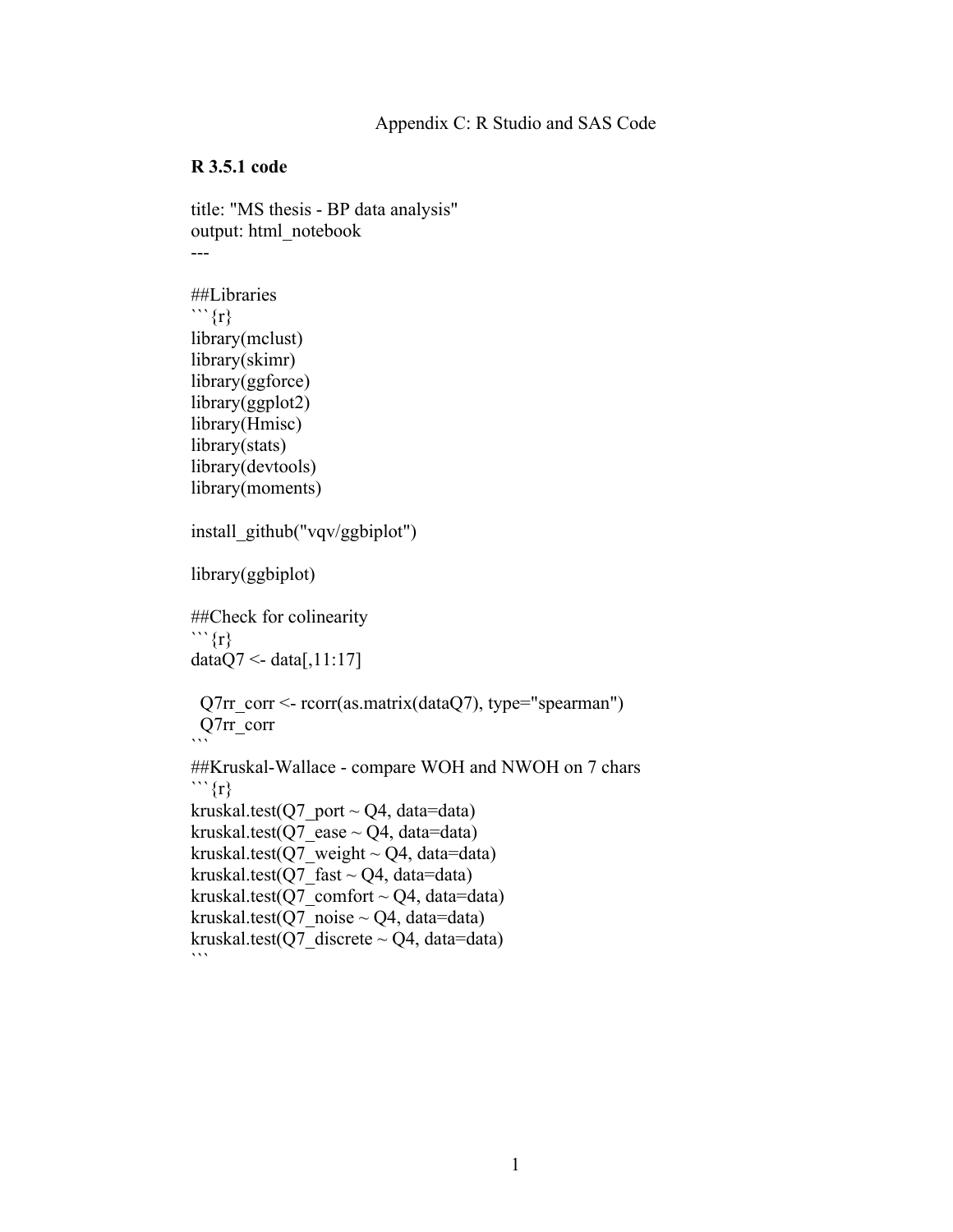## **R 3.5.1 code**

```
title: "MS thesis - BP data analysis"
output: html_notebook
---
##Libraries
```{r}
library(mclust)
library(skimr)
library(ggforce)
library(ggplot2)
library(Hmisc)
library(stats)
library(devtools)
library(moments)
install_github("vqv/ggbiplot")
library(ggbiplot)
##Check for colinearity
```{r}
dataQ7 \leq \text{data}[,11:17]
 Q7rr corr <- rcorr(as.matrix(dataQ7), type="spearman")
  Q7rr_corr
\ddot{\phantom{0}}##Kruskal-Wallace - compare WOH and NWOH on 7 chars
```{r}
kruskal.test(Q7 port \sim Q4, data=data)
kruskal.test(Q7 ease \sim Q4, data=data)
kruskal.test(Q7_weight ~ Q4, data=data)
kruskal.test(Q7 fast ~ Q4, data=data)
kruskal.test(Q7 comfort \sim Q4, data=data)
kruskal.test(Q7 noise \sim Q4, data=data)
kruskal.test(Q7 discrete \sim Q4, data=data)
\cdots
```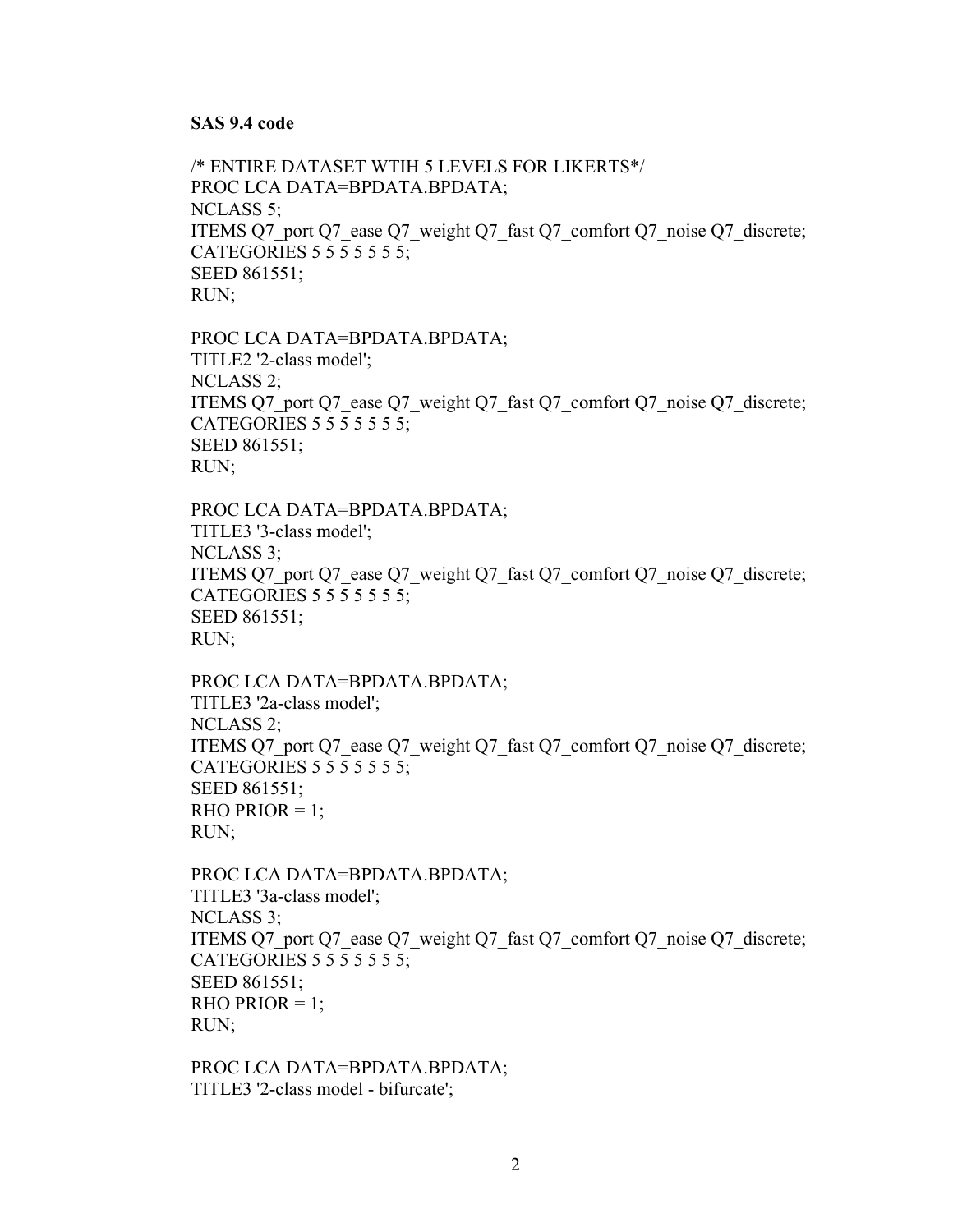## **SAS 9.4 code**

/\* ENTIRE DATASET WTIH 5 LEVELS FOR LIKERTS\*/ PROC LCA DATA=BPDATA.BPDATA; NCLASS 5; ITEMS Q7\_port Q7\_ease Q7\_weight Q7\_fast Q7\_comfort Q7\_noise Q7\_discrete; CATEGORIES 5 5 5 5 5 5 5; SEED 861551; RUN;

PROC LCA DATA=BPDATA.BPDATA; TITLE2 '2-class model'; NCLASS 2; ITEMS Q7\_port Q7\_ease Q7\_weight Q7\_fast Q7\_comfort Q7\_noise Q7\_discrete; CATEGORIES 5 5 5 5 5 5 5; SEED 861551; RUN;

PROC LCA DATA=BPDATA.BPDATA; TITLE3 '3-class model'; NCLASS 3; ITEMS Q7\_port Q7\_ease Q7\_weight Q7\_fast Q7\_comfort Q7\_noise Q7\_discrete; CATEGORIES 5 5 5 5 5 5 5; SEED 861551; RUN;

```
PROC LCA DATA=BPDATA.BPDATA;
TITLE3 '2a-class model';
NCLASS 2;
ITEMS Q7_port Q7_ease Q7_weight Q7_fast Q7_comfort Q7_noise Q7_discrete;
CATEGORIES 5 5 5 5 5 5 5;
SEED 861551;
RHO PRIOR = 1;
RUN;
```

```
PROC LCA DATA=BPDATA.BPDATA;
TITLE3 '3a-class model';
NCLASS 3;
ITEMS Q7_port Q7_ease Q7_weight Q7_fast Q7_comfort Q7_noise Q7_discrete;
CATEGORIES 5 5 5 5 5 5 5;
SEED 861551;
RHO PRIOR = 1;
RUN;
```
PROC LCA DATA=BPDATA.BPDATA; TITLE3 '2-class model - bifurcate';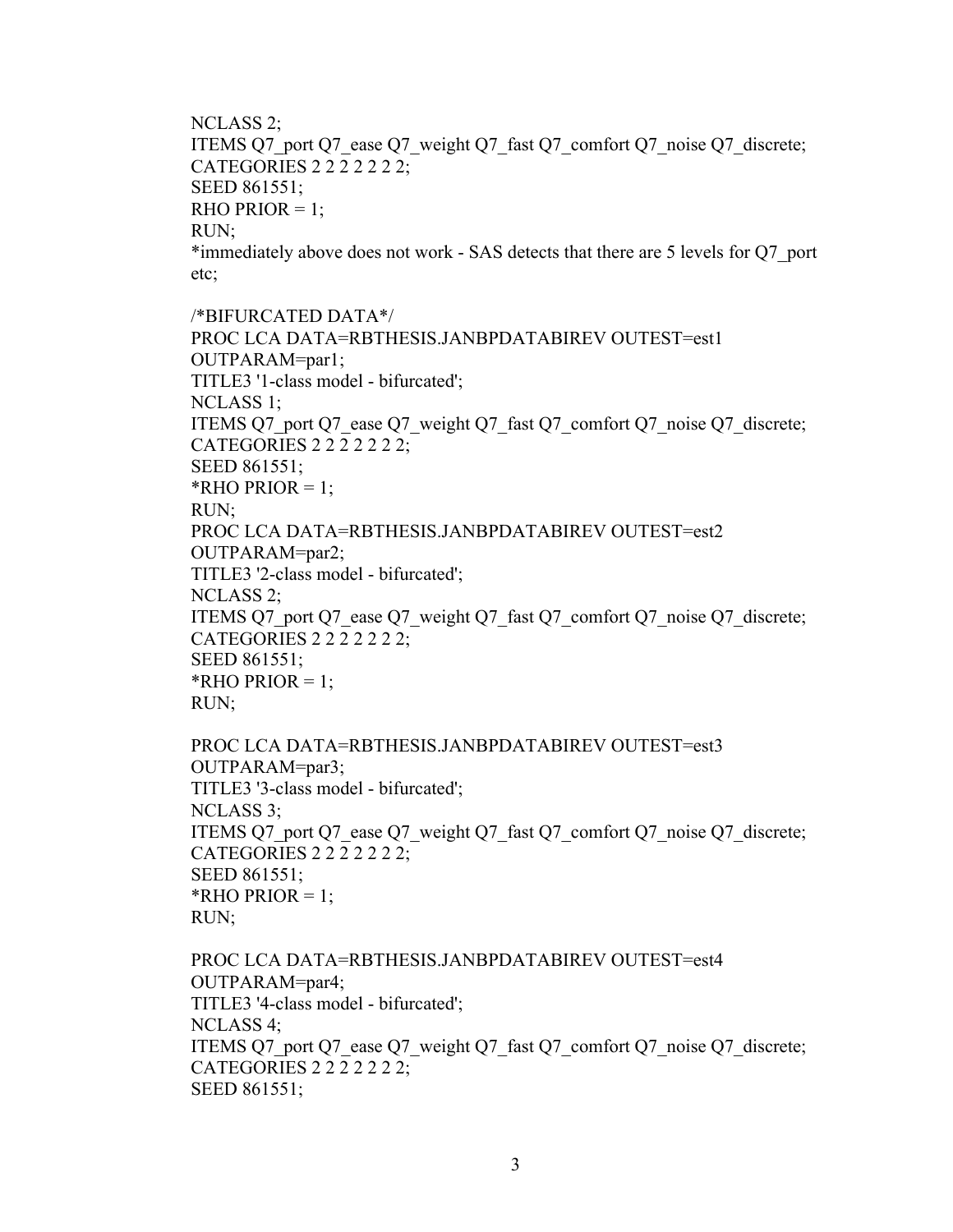NCLASS 2; ITEMS Q7\_port Q7\_ease Q7\_weight Q7\_fast Q7\_comfort Q7\_noise Q7\_discrete; CATEGORIES 2 2 2 2 2 2 2; SEED 861551; RHO PRIOR  $= 1$ ; RUN; \*immediately above does not work - SAS detects that there are 5 levels for Q7\_port etc;

/\*BIFURCATED DATA\*/ PROC LCA DATA=RBTHESIS.JANBPDATABIREV OUTEST=est1 OUTPARAM=par1; TITLE3 '1-class model - bifurcated'; NCLASS 1; ITEMS Q7\_port Q7\_ease Q7\_weight Q7\_fast Q7\_comfort Q7\_noise Q7\_discrete; CATEGORIES 2 2 2 2 2 2 2; SEED 861551; \*RHO PRIOR  $= 1$ ; RUN; PROC LCA DATA=RBTHESIS.JANBPDATABIREV OUTEST=est2 OUTPARAM=par2; TITLE3 '2-class model - bifurcated'; NCLASS 2; ITEMS Q7\_port Q7\_ease Q7\_weight Q7\_fast Q7\_comfort Q7\_noise Q7\_discrete; CATEGORIES 2 2 2 2 2 2 2; SEED 861551; \*RHO PRIOR  $= 1$ ; RUN;

```
PROC LCA DATA=RBTHESIS.JANBPDATABIREV OUTEST=est3 
OUTPARAM=par3;
TITLE3 '3-class model - bifurcated';
NCLASS 3;
ITEMS Q7_port Q7_ease Q7_weight Q7_fast Q7_comfort Q7_noise Q7_discrete;
CATEGORIES 2 2 2 2 2 2 2;
SEED 861551;
*RHO PRIOR = 1;
RUN;
```

```
PROC LCA DATA=RBTHESIS.JANBPDATABIREV OUTEST=est4 
OUTPARAM=par4;
TITLE3 '4-class model - bifurcated';
NCLASS 4;
ITEMS Q7_port Q7_ease Q7_weight Q7_fast Q7_comfort Q7_noise Q7_discrete;
CATEGORIES 2 2 2 2 2 2 2;
SEED 861551;
```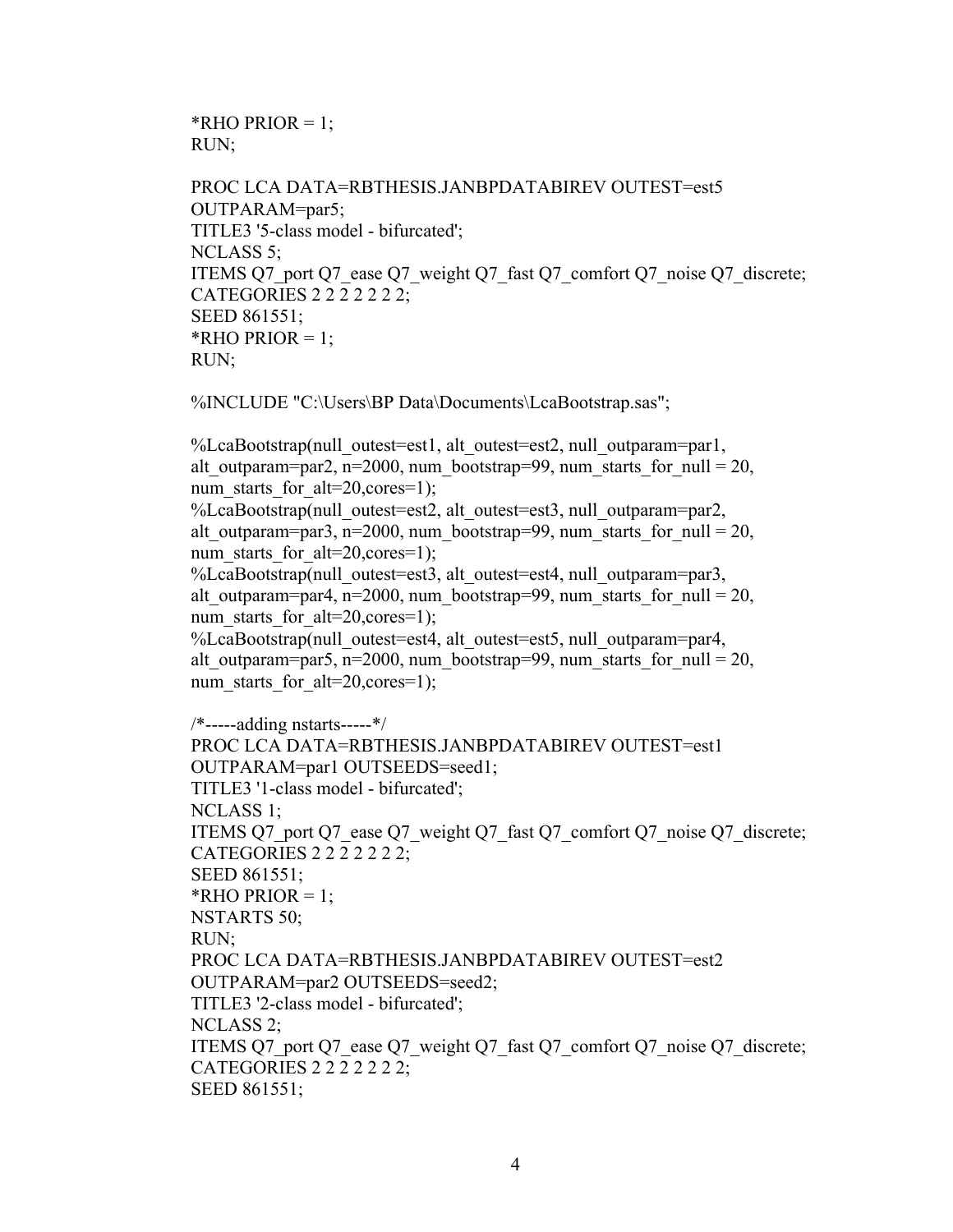\*RHO PRIOR =  $1$ ; RUN;

```
PROC LCA DATA=RBTHESIS.JANBPDATABIREV OUTEST=est5 
OUTPARAM=par5;
TITLE3 '5-class model - bifurcated';
NCLASS 5;
ITEMS Q7_port Q7_ease Q7_weight Q7_fast Q7_comfort Q7_noise Q7_discrete;
CATEGORIES 2 2 2 2 2 2 2;
SEED 861551;
*RHO PRIOR = 1;
RUN;
```
%INCLUDE "C:\Users\BP Data\Documents\LcaBootstrap.sas";

%LcaBootstrap(null\_outest=est1, alt\_outest=est2, null\_outparam=par1, alt outparam=par2, n=2000, num\_bootstrap=99, num\_starts\_for\_null = 20, num starts for  $alt=20, cores=1);$ %LcaBootstrap(null\_outest=est2, alt\_outest=est3, null\_outparam=par2, alt outparam=par3, n=2000, num\_bootstrap=99, num\_starts\_for\_null = 20, num starts for  $alt=20, cores=1)$ ; %LcaBootstrap(null\_outest=est3, alt\_outest=est4, null\_outparam=par3, alt outparam=par4, n=2000, num\_bootstrap=99, num\_starts\_for\_null = 20, num starts for  $alt=20, cores=1)$ ; %LcaBootstrap(null\_outest=est4, alt\_outest=est5, null\_outparam=par4, alt outparam=par5, n=2000, num\_bootstrap=99, num\_starts\_for\_null = 20, num starts for  $alt=20, cores=1)$ ; /\*-----adding nstarts-----\*/ PROC LCA DATA=RBTHESIS.JANBPDATABIREV OUTEST=est1 OUTPARAM=par1 OUTSEEDS=seed1; TITLE3 '1-class model - bifurcated'; NCLASS 1; ITEMS Q7\_port Q7\_ease Q7\_weight Q7\_fast Q7\_comfort Q7\_noise Q7\_discrete; CATEGORIES 2 2 2 2 2 2 2; SEED 861551; \*RHO PRIOR  $= 1$ ; NSTARTS 50; RUN; PROC LCA DATA=RBTHESIS.JANBPDATABIREV OUTEST=est2 OUTPARAM=par2 OUTSEEDS=seed2; TITLE3 '2-class model - bifurcated'; NCLASS 2; ITEMS Q7\_port Q7\_ease Q7\_weight Q7\_fast Q7\_comfort Q7\_noise Q7\_discrete; CATEGORIES 2 2 2 2 2 2 2; SEED 861551;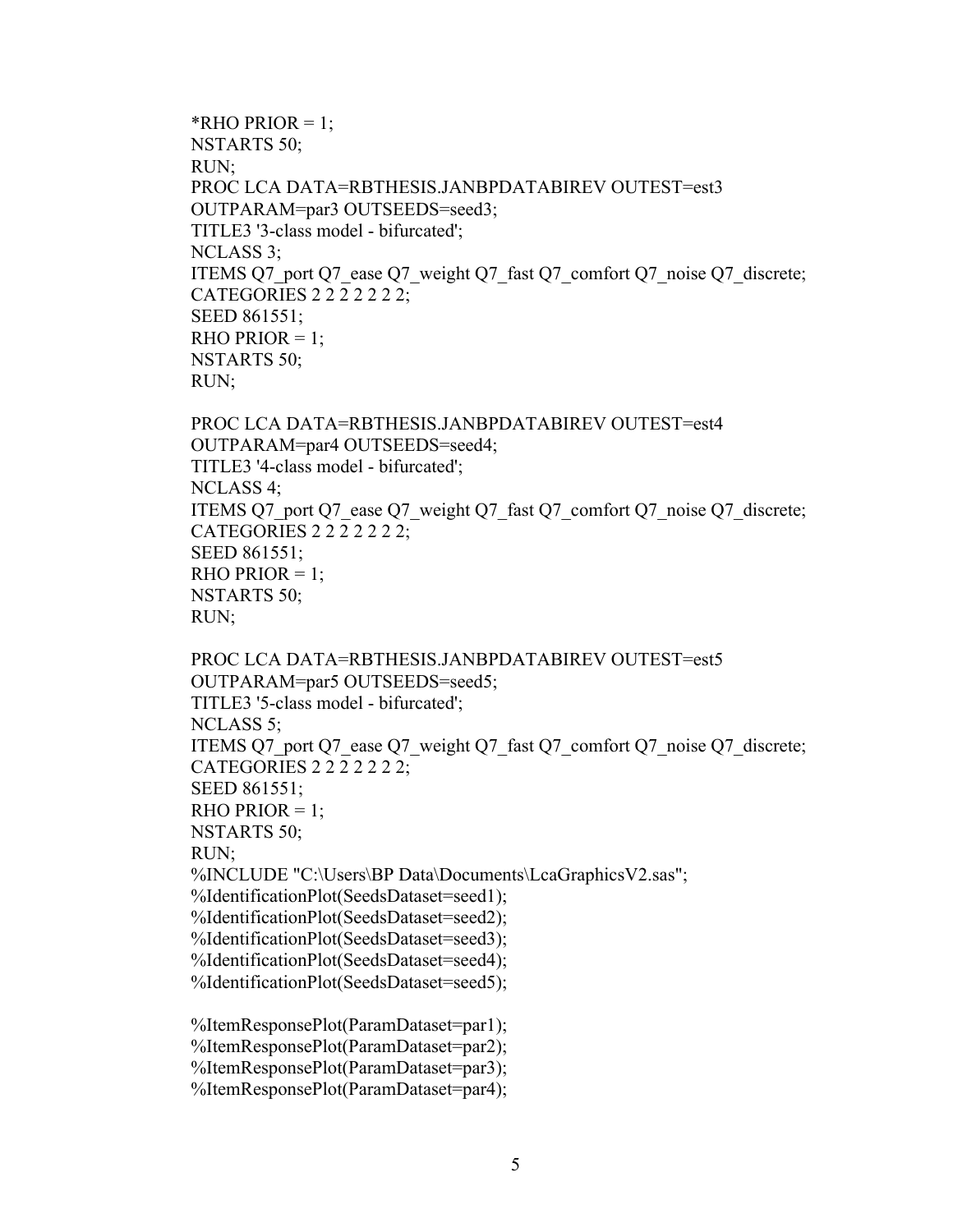```
*RHO PRIOR = 1;
NSTARTS 50;
RUN;
PROC LCA DATA=RBTHESIS.JANBPDATABIREV OUTEST=est3 
OUTPARAM=par3 OUTSEEDS=seed3;
TITLE3 '3-class model - bifurcated';
NCLASS 3;
ITEMS Q7_port Q7_ease Q7_weight Q7_fast Q7_comfort Q7_noise Q7_discrete;
CATEGORIES 2 2 2 2 2 2 2;
SEED 861551;
RHO PRIOR = 1;
NSTARTS 50;
RUN;
```
PROC LCA DATA=RBTHESIS.JANBPDATABIREV OUTEST=est4 OUTPARAM=par4 OUTSEEDS=seed4; TITLE3 '4-class model - bifurcated'; NCLASS 4; ITEMS Q7\_port Q7\_ease Q7\_weight Q7\_fast Q7\_comfort Q7\_noise Q7\_discrete; CATEGORIES 2 2 2 2 2 2 2; SEED 861551;  $RHO PRIOR = 1$ ; NSTARTS 50; RUN;

PROC LCA DATA=RBTHESIS.JANBPDATABIREV OUTEST=est5 OUTPARAM=par5 OUTSEEDS=seed5; TITLE3 '5-class model - bifurcated'; NCLASS 5; ITEMS Q7\_port Q7\_ease Q7\_weight Q7\_fast Q7\_comfort Q7\_noise Q7\_discrete; CATEGORIES 2 2 2 2 2 2 2; SEED 861551; RHO PRIOR  $= 1$ ; NSTARTS 50; RUN; %INCLUDE "C:\Users\BP Data\Documents\LcaGraphicsV2.sas"; %IdentificationPlot(SeedsDataset=seed1); %IdentificationPlot(SeedsDataset=seed2); %IdentificationPlot(SeedsDataset=seed3); %IdentificationPlot(SeedsDataset=seed4); %IdentificationPlot(SeedsDataset=seed5); %ItemResponsePlot(ParamDataset=par1); %ItemResponsePlot(ParamDataset=par2); %ItemResponsePlot(ParamDataset=par3);

%ItemResponsePlot(ParamDataset=par4);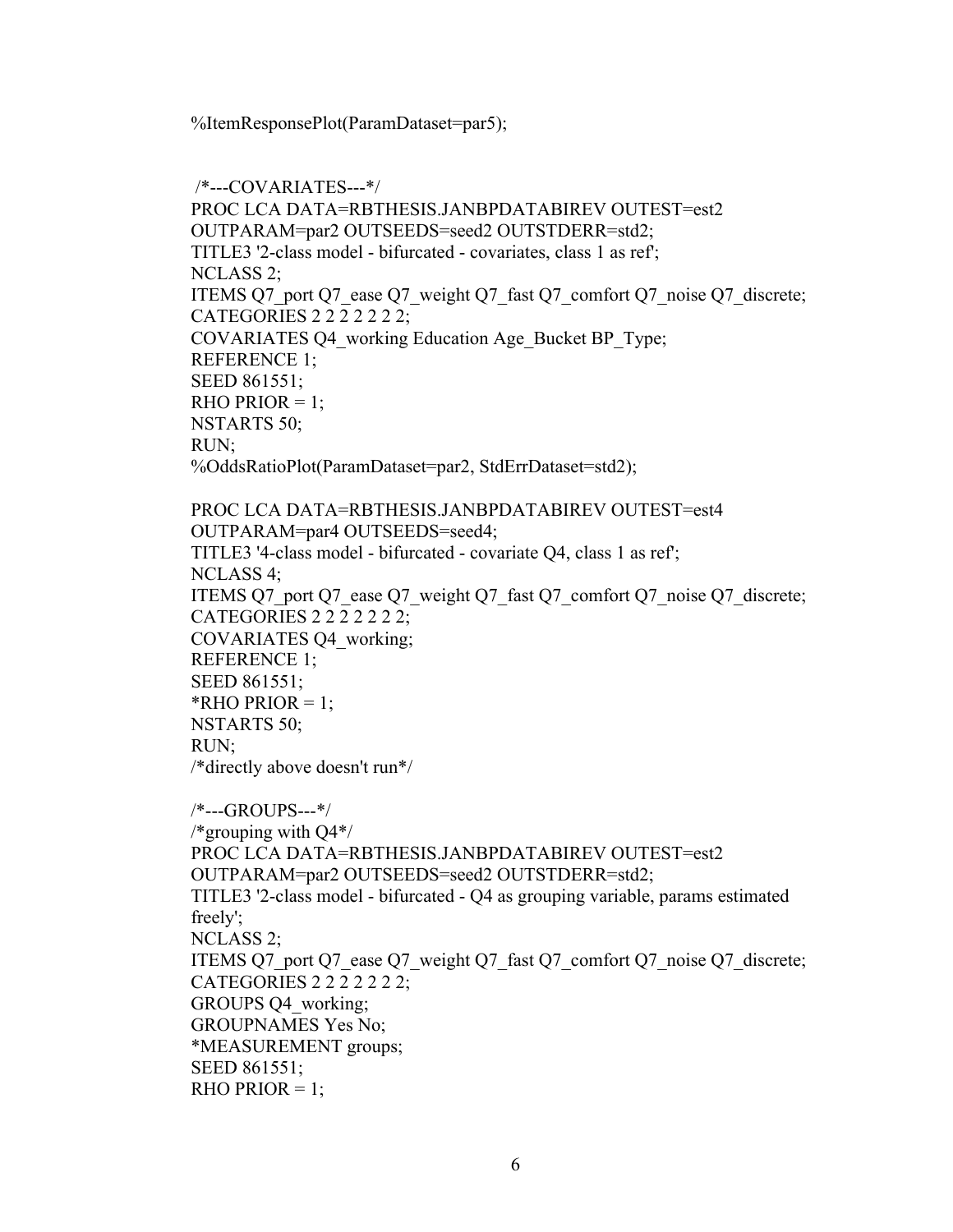%ItemResponsePlot(ParamDataset=par5);

/\*---COVARIATES---\*/ PROC LCA DATA=RBTHESIS.JANBPDATABIREV OUTEST=est2 OUTPARAM=par2 OUTSEEDS=seed2 OUTSTDERR=std2; TITLE3 '2-class model - bifurcated - covariates, class 1 as ref'; NCLASS 2; ITEMS Q7\_port Q7\_ease Q7\_weight Q7\_fast Q7\_comfort Q7\_noise Q7\_discrete; CATEGORIES 2 2 2 2 2 2 2; COVARIATES Q4\_working Education Age\_Bucket BP\_Type; REFERENCE 1; SEED 861551; RHO PRIOR  $= 1$ ; NSTARTS 50; RUN; %OddsRatioPlot(ParamDataset=par2, StdErrDataset=std2); PROC LCA DATA=RBTHESIS.JANBPDATABIREV OUTEST=est4 OUTPARAM=par4 OUTSEEDS=seed4; TITLE3 '4-class model - bifurcated - covariate Q4, class 1 as ref'; NCLASS 4; ITEMS Q7\_port Q7\_ease Q7\_weight Q7\_fast Q7\_comfort Q7\_noise Q7\_discrete; CATEGORIES 2 2 2 2 2 2 2; COVARIATES Q4\_working; REFERENCE 1; SEED 861551; \*RHO PRIOR  $= 1$ ; NSTARTS 50; RUN; /\*directly above doesn't run\*/ /\*---GROUPS---\*/ /\*grouping with Q4\*/ PROC LCA DATA=RBTHESIS.JANBPDATABIREV OUTEST=est2 OUTPARAM=par2 OUTSEEDS=seed2 OUTSTDERR=std2; TITLE3 '2-class model - bifurcated - Q4 as grouping variable, params estimated freely'; NCLASS 2; ITEMS Q7\_port Q7\_ease Q7\_weight Q7\_fast Q7\_comfort Q7\_noise Q7\_discrete; CATEGORIES 2 2 2 2 2 2 2; GROUPS Q4\_working; GROUPNAMES Yes No; \*MEASUREMENT groups; SEED 861551; RHO PRIOR  $= 1$ ;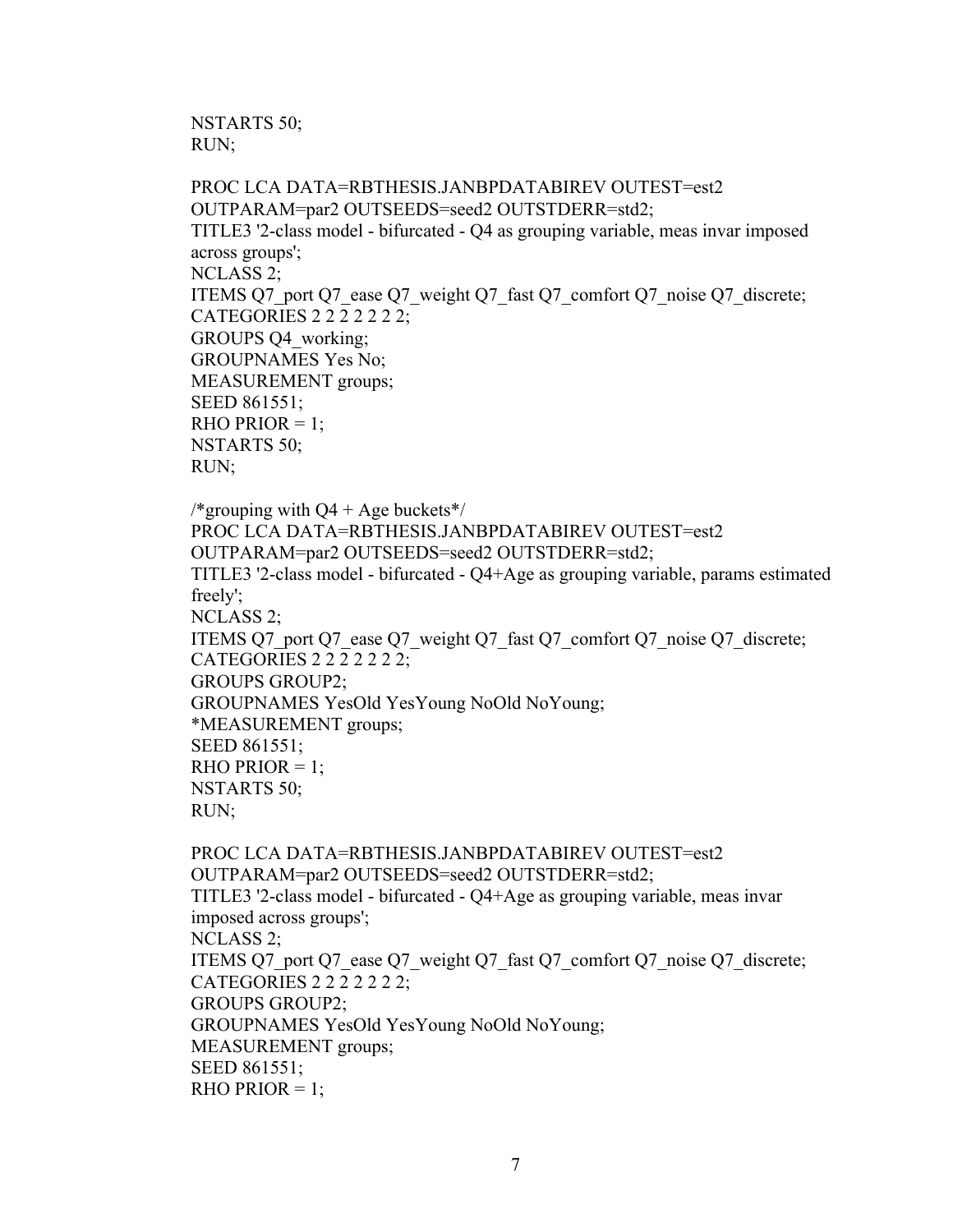NSTARTS 50; RUN;

PROC LCA DATA=RBTHESIS.JANBPDATABIREV OUTEST=est2 OUTPARAM=par2 OUTSEEDS=seed2 OUTSTDERR=std2; TITLE3 '2-class model - bifurcated - Q4 as grouping variable, meas invar imposed across groups'; NCLASS 2; ITEMS Q7\_port Q7\_ease Q7\_weight Q7\_fast Q7\_comfort Q7\_noise Q7\_discrete; CATEGORIES 2 2 2 2 2 2 2; GROUPS Q4\_working; GROUPNAMES Yes No; MEASUREMENT groups; SEED 861551; RHO PRIOR  $= 1$ ; NSTARTS 50; RUN;

/\*grouping with  $Q4 + Age$  buckets\*/ PROC LCA DATA=RBTHESIS.JANBPDATABIREV OUTEST=est2 OUTPARAM=par2 OUTSEEDS=seed2 OUTSTDERR=std2; TITLE3 '2-class model - bifurcated - Q4+Age as grouping variable, params estimated freely'; NCLASS 2; ITEMS Q7\_port Q7\_ease Q7\_weight Q7\_fast Q7\_comfort Q7\_noise Q7\_discrete; CATEGORIES 2 2 2 2 2 2 2; GROUPS GROUP2; GROUPNAMES YesOld YesYoung NoOld NoYoung; \*MEASUREMENT groups; SEED 861551;  $RHO PRIOR = 1$ : NSTARTS 50; RUN;

PROC LCA DATA=RBTHESIS.JANBPDATABIREV OUTEST=est2 OUTPARAM=par2 OUTSEEDS=seed2 OUTSTDERR=std2; TITLE3 '2-class model - bifurcated - Q4+Age as grouping variable, meas invar imposed across groups'; NCLASS 2; ITEMS Q7\_port Q7\_ease Q7\_weight Q7\_fast Q7\_comfort Q7\_noise Q7\_discrete; CATEGORIES 2 2 2 2 2 2 2; GROUPS GROUP2; GROUPNAMES YesOld YesYoung NoOld NoYoung; MEASUREMENT groups; SEED 861551; RHO PRIOR  $= 1$ ;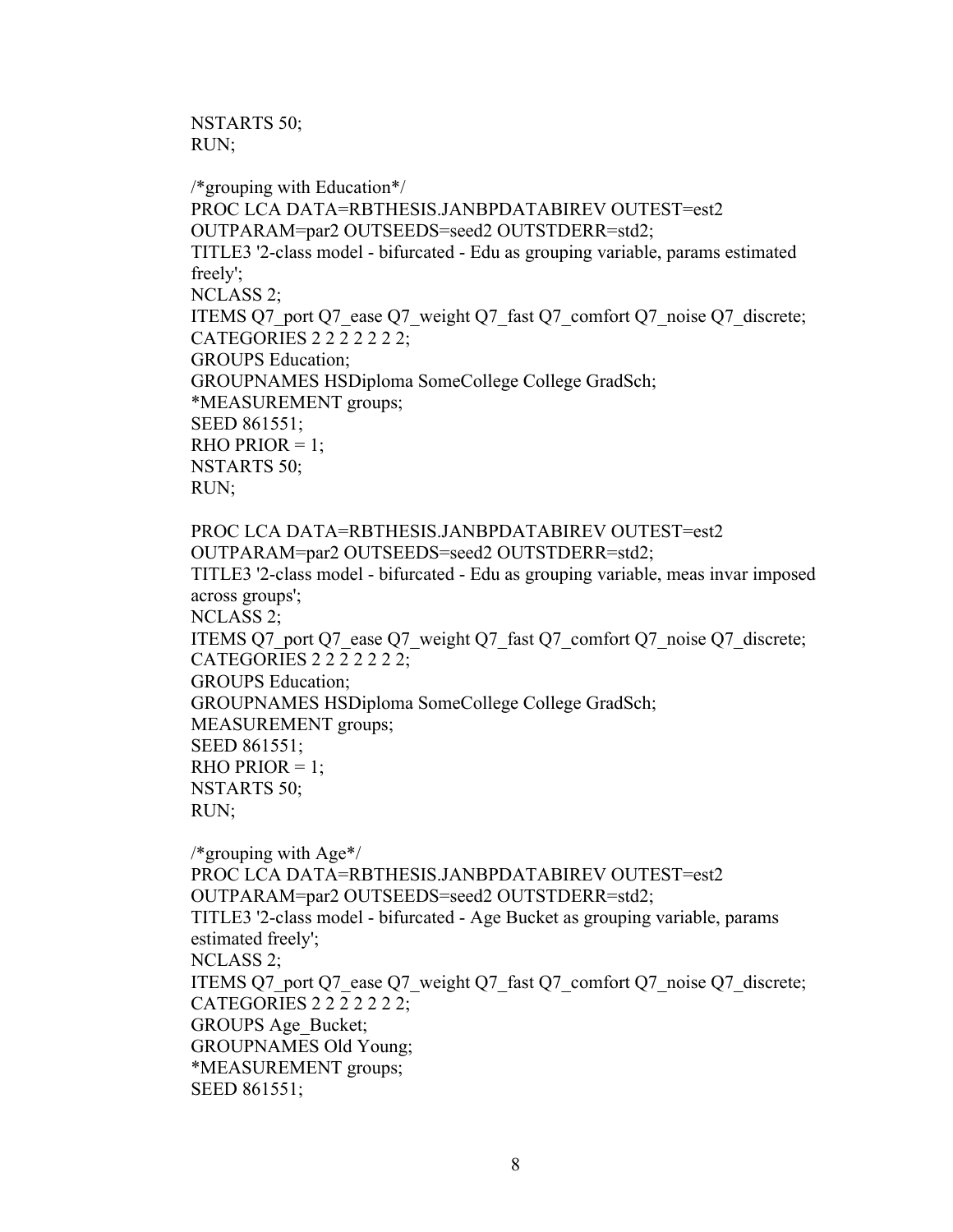NSTARTS 50; RUN;

/\*grouping with Education\*/ PROC LCA DATA=RBTHESIS.JANBPDATABIREV OUTEST=est2 OUTPARAM=par2 OUTSEEDS=seed2 OUTSTDERR=std2; TITLE3 '2-class model - bifurcated - Edu as grouping variable, params estimated freely'; NCLASS 2; ITEMS Q7\_port Q7\_ease Q7\_weight Q7\_fast Q7\_comfort Q7\_noise Q7\_discrete; CATEGORIES 2 2 2 2 2 2 2; GROUPS Education; GROUPNAMES HSDiploma SomeCollege College GradSch; \*MEASUREMENT groups; SEED 861551; RHO PRIOR  $= 1$ ; NSTARTS 50; RUN; PROC LCA DATA=RBTHESIS.JANBPDATABIREV OUTEST=est2 OUTPARAM=par2 OUTSEEDS=seed2 OUTSTDERR=std2; TITLE3 '2-class model - bifurcated - Edu as grouping variable, meas invar imposed across groups'; NCLASS 2; ITEMS Q7\_port Q7\_ease Q7\_weight Q7\_fast Q7\_comfort Q7\_noise Q7\_discrete;

CATEGORIES 2 2 2 2 2 2 2; GROUPS Education; GROUPNAMES HSDiploma SomeCollege College GradSch; MEASUREMENT groups; SEED 861551; RHO PRIOR  $= 1$ ; NSTARTS 50; RUN;

/\*grouping with Age\*/ PROC LCA DATA=RBTHESIS.JANBPDATABIREV OUTEST=est2 OUTPARAM=par2 OUTSEEDS=seed2 OUTSTDERR=std2; TITLE3 '2-class model - bifurcated - Age Bucket as grouping variable, params estimated freely'; NCLASS 2; ITEMS Q7\_port Q7\_ease Q7\_weight Q7\_fast Q7\_comfort Q7\_noise Q7\_discrete; CATEGORIES 2 2 2 2 2 2 2; GROUPS Age\_Bucket; GROUPNAMES Old Young; \*MEASUREMENT groups; SEED 861551;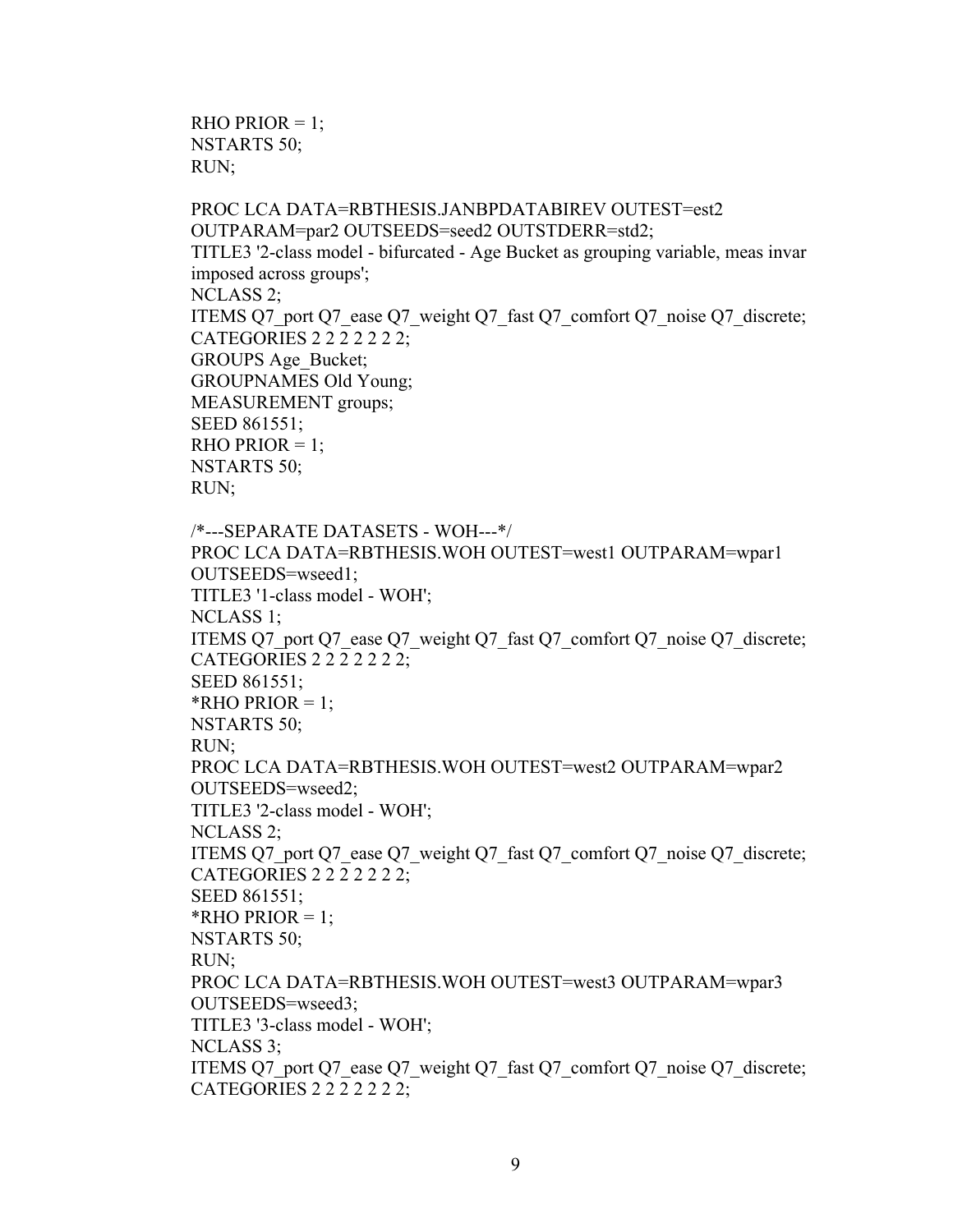```
RHO PRIOR = 1;
NSTARTS 50;
RUN;
```
PROC LCA DATA=RBTHESIS.JANBPDATABIREV OUTEST=est2 OUTPARAM=par2 OUTSEEDS=seed2 OUTSTDERR=std2; TITLE3 '2-class model - bifurcated - Age Bucket as grouping variable, meas invar imposed across groups'; NCLASS 2; ITEMS Q7\_port Q7\_ease Q7\_weight Q7\_fast Q7\_comfort Q7\_noise Q7\_discrete; CATEGORIES 2 2 2 2 2 2 2; GROUPS Age\_Bucket; GROUPNAMES Old Young; MEASUREMENT groups; SEED 861551; RHO PRIOR  $= 1$ ; NSTARTS 50; RUN; /\*---SEPARATE DATASETS - WOH---\*/ PROC LCA DATA=RBTHESIS.WOH OUTEST=west1 OUTPARAM=wpar1 OUTSEEDS=wseed1; TITLE3 '1-class model - WOH'; NCLASS 1; ITEMS Q7\_port Q7\_ease Q7\_weight Q7\_fast Q7\_comfort Q7\_noise Q7\_discrete; CATEGORIES 2 2 2 2 2 2 2; SEED 861551; \*RHO PRIOR  $= 1$ ; NSTARTS 50; RUN; PROC LCA DATA=RBTHESIS.WOH OUTEST=west2 OUTPARAM=wpar2 OUTSEEDS=wseed2; TITLE3 '2-class model - WOH'; NCLASS 2; ITEMS Q7\_port Q7\_ease Q7\_weight Q7\_fast Q7\_comfort Q7\_noise Q7\_discrete; CATEGORIES 2 2 2 2 2 2 2; SEED 861551; \*RHO PRIOR  $= 1$ ; NSTARTS 50; RUN; PROC LCA DATA=RBTHESIS.WOH OUTEST=west3 OUTPARAM=wpar3 OUTSEEDS=wseed3; TITLE3 '3-class model - WOH'; NCLASS 3; ITEMS Q7\_port Q7\_ease Q7\_weight Q7\_fast Q7\_comfort Q7\_noise Q7\_discrete; CATEGORIES 2 2 2 2 2 2 2;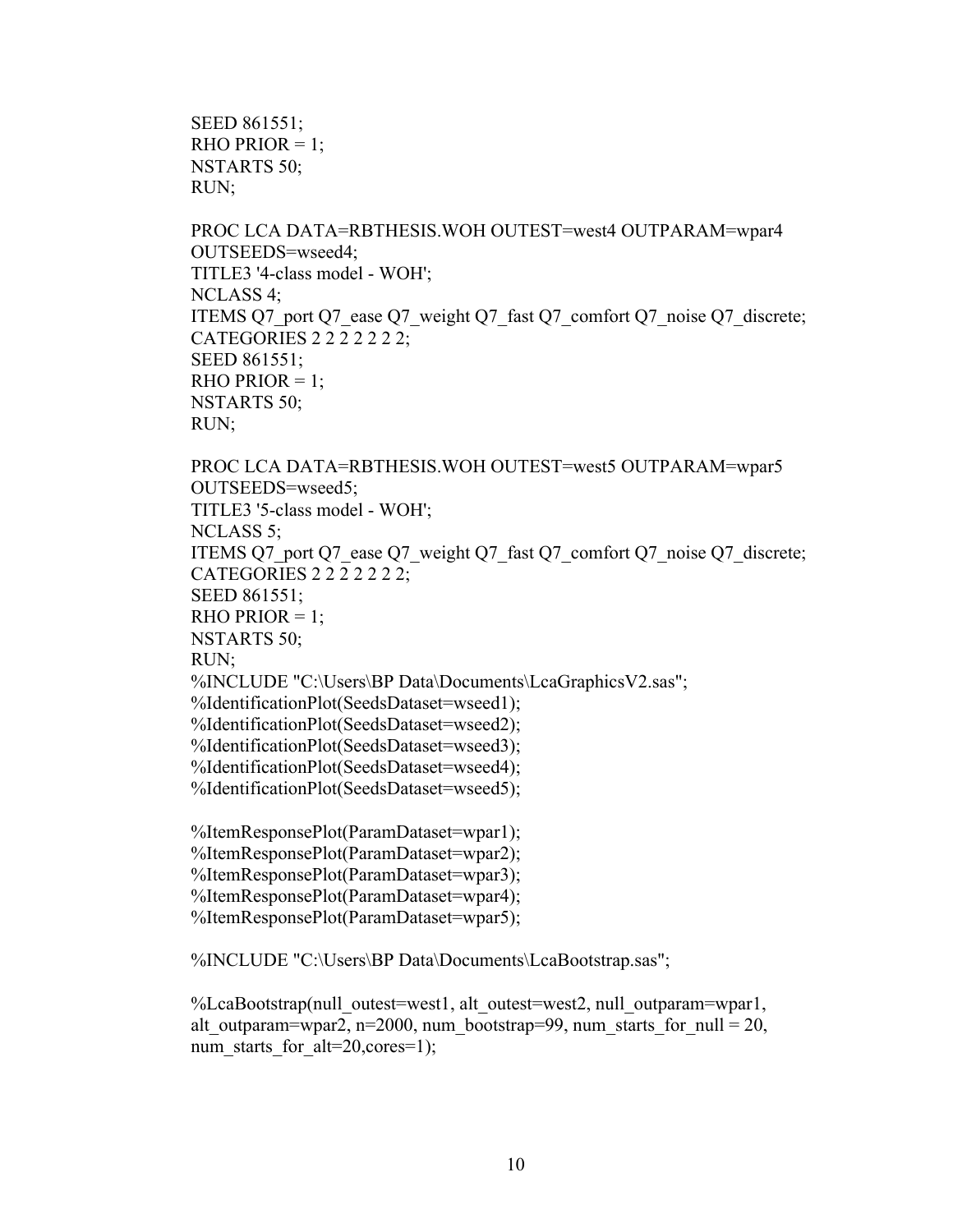SEED 861551; RHO PRIOR  $= 1$ ; NSTARTS 50; RUN;

PROC LCA DATA=RBTHESIS.WOH OUTEST=west4 OUTPARAM=wpar4 OUTSEEDS=wseed4; TITLE3 '4-class model - WOH'; NCLASS 4; ITEMS Q7\_port Q7\_ease Q7\_weight Q7\_fast Q7\_comfort Q7\_noise Q7\_discrete; CATEGORIES 2 2 2 2 2 2 2; SEED 861551; RHO PRIOR  $= 1$ ; NSTARTS 50; RUN;

PROC LCA DATA=RBTHESIS.WOH OUTEST=west5 OUTPARAM=wpar5 OUTSEEDS=wseed5; TITLE3 '5-class model - WOH'; NCLASS 5; ITEMS Q7\_port Q7\_ease Q7\_weight Q7\_fast Q7\_comfort Q7\_noise Q7\_discrete; CATEGORIES 2 2 2 2 2 2 2; SEED 861551; RHO PRIOR  $= 1$ ; NSTARTS 50; RUN; %INCLUDE "C:\Users\BP Data\Documents\LcaGraphicsV2.sas"; %IdentificationPlot(SeedsDataset=wseed1); %IdentificationPlot(SeedsDataset=wseed2); %IdentificationPlot(SeedsDataset=wseed3); %IdentificationPlot(SeedsDataset=wseed4); %IdentificationPlot(SeedsDataset=wseed5); %ItemResponsePlot(ParamDataset=wpar1);

%ItemResponsePlot(ParamDataset=wpar2); %ItemResponsePlot(ParamDataset=wpar3); %ItemResponsePlot(ParamDataset=wpar4); %ItemResponsePlot(ParamDataset=wpar5);

%INCLUDE "C:\Users\BP Data\Documents\LcaBootstrap.sas";

%LcaBootstrap(null\_outest=west1, alt\_outest=west2, null\_outparam=wpar1, alt outparam=wpar2, n=2000, num\_bootstrap=99, num\_starts\_for\_null = 20, num starts for  $alt=20, cores=1);$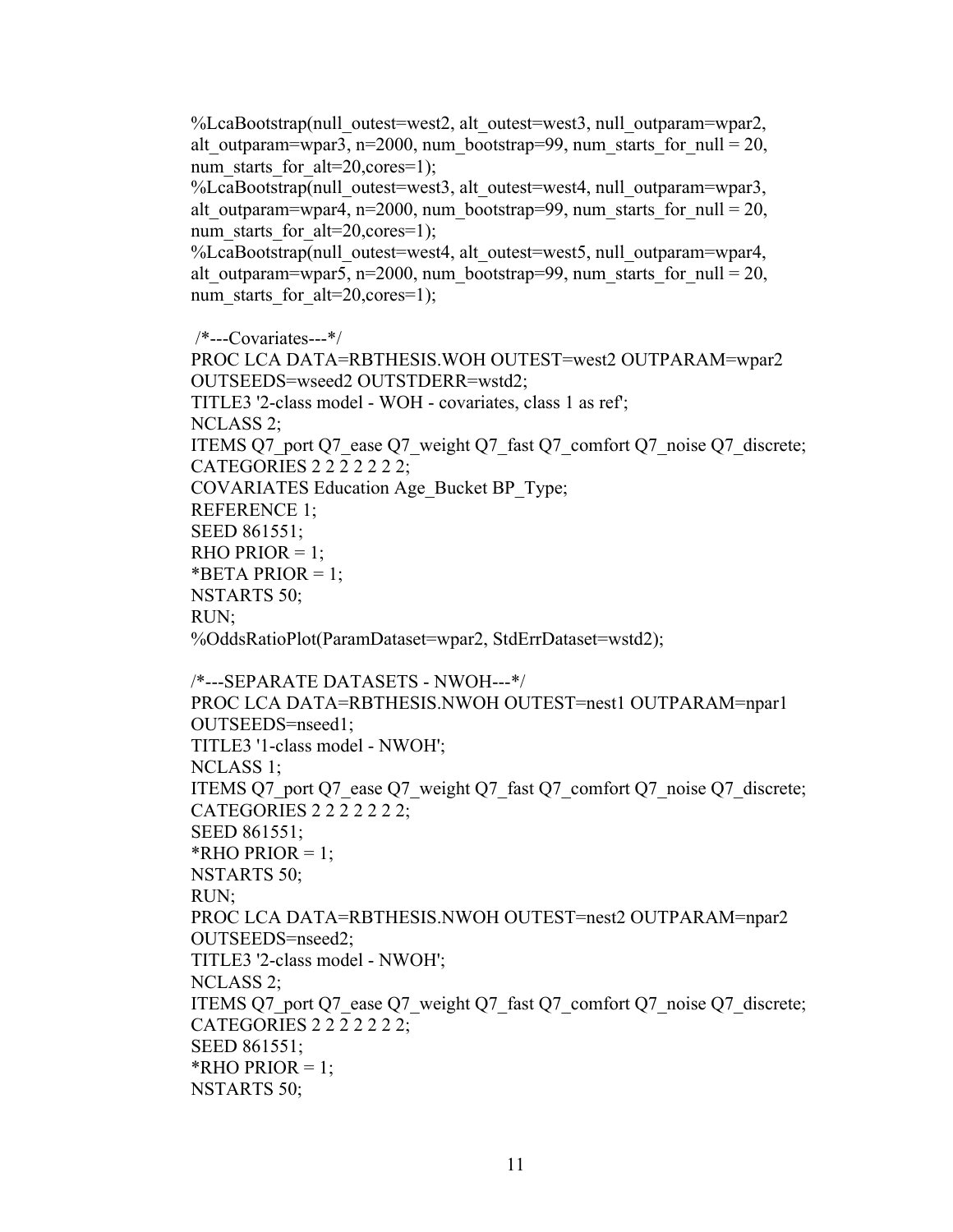%LcaBootstrap(null\_outest=west2, alt\_outest=west3, null\_outparam=wpar2, alt outparam=wpar3, n=2000, num\_bootstrap=99, num\_starts\_for\_null = 20, num\_starts\_for\_alt=20,cores=1);

%LcaBootstrap(null\_outest=west3, alt\_outest=west4, null\_outparam=wpar3, alt outparam=wpar4, n=2000, num\_bootstrap=99, num\_starts\_for\_null = 20, num\_starts\_for\_alt=20,cores=1);

%LcaBootstrap(null\_outest=west4, alt\_outest=west5, null\_outparam=wpar4, alt outparam=wpar5, n=2000, num\_bootstrap=99, num\_starts\_for\_null = 20, num starts for  $alt=20, cores=1)$ ;

/\*---Covariates---\*/

PROC LCA DATA=RBTHESIS.WOH OUTEST=west2 OUTPARAM=wpar2 OUTSEEDS=wseed2 OUTSTDERR=wstd2; TITLE3 '2-class model - WOH - covariates, class 1 as ref'; NCLASS 2; ITEMS Q7\_port Q7\_ease Q7\_weight Q7\_fast Q7\_comfort Q7\_noise Q7\_discrete; CATEGORIES 2 2 2 2 2 2 2; COVARIATES Education Age\_Bucket BP\_Type; REFERENCE 1; SEED 861551; RHO PRIOR  $= 1$ ; \*BETA PRIOR = 1; NSTARTS 50; RUN; %OddsRatioPlot(ParamDataset=wpar2, StdErrDataset=wstd2); /\*---SEPARATE DATASETS - NWOH---\*/ PROC LCA DATA=RBTHESIS.NWOH OUTEST=nest1 OUTPARAM=npar1 OUTSEEDS=nseed1; TITLE3 '1-class model - NWOH'; NCLASS 1; ITEMS Q7\_port Q7\_ease Q7\_weight Q7\_fast Q7\_comfort Q7\_noise Q7\_discrete; CATEGORIES 2 2 2 2 2 2 2; SEED 861551; \*RHO PRIOR =  $1$ ; NSTARTS 50; RUN; PROC LCA DATA=RBTHESIS.NWOH OUTEST=nest2 OUTPARAM=npar2 OUTSEEDS=nseed2; TITLE3 '2-class model - NWOH'; NCLASS 2; ITEMS Q7\_port Q7\_ease Q7\_weight Q7\_fast Q7\_comfort Q7\_noise Q7\_discrete; CATEGORIES 2 2 2 2 2 2 2; SEED 861551; \*RHO PRIOR  $= 1$ ; NSTARTS 50;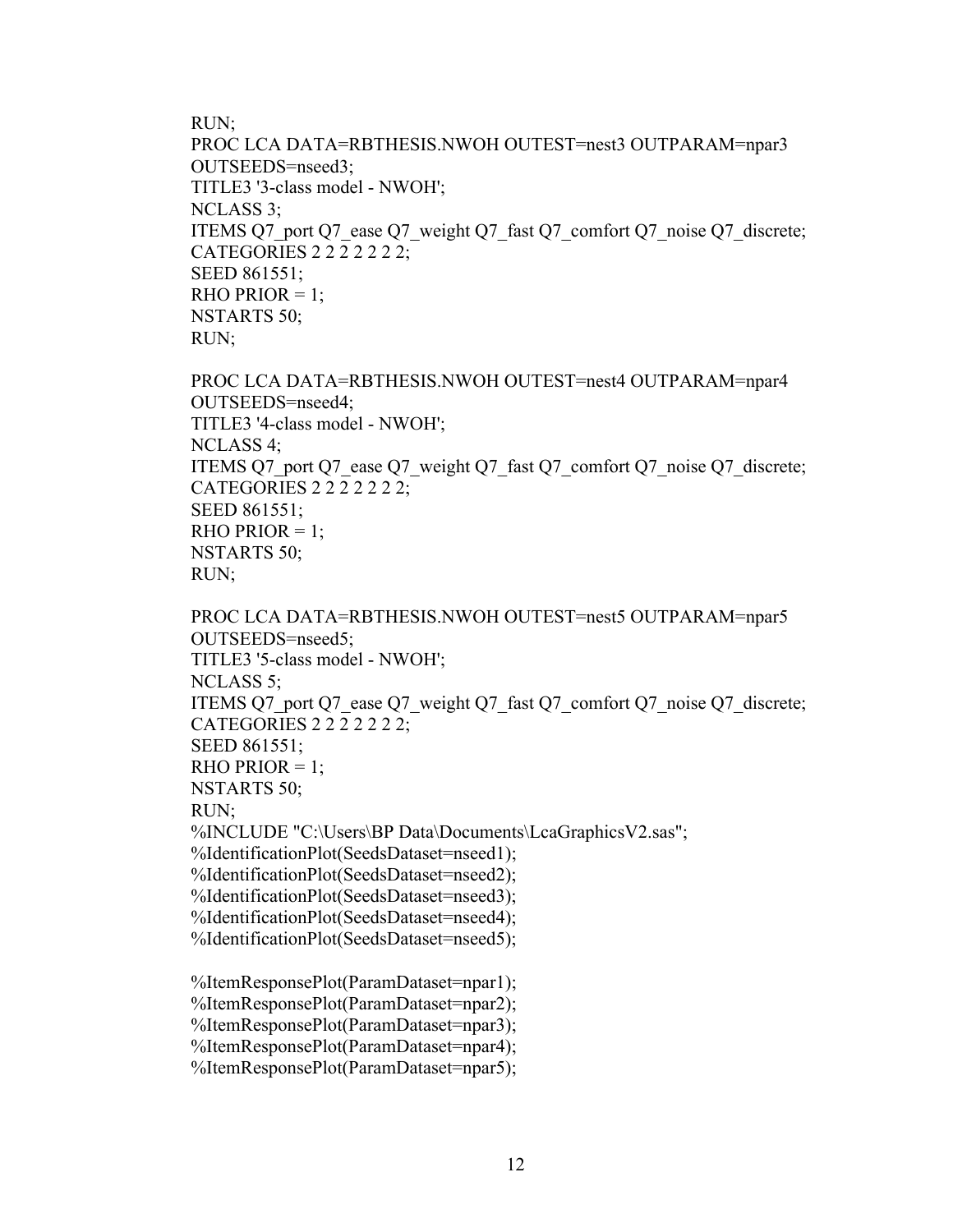RUN;

PROC LCA DATA=RBTHESIS.NWOH OUTEST=nest3 OUTPARAM=npar3 OUTSEEDS=nseed3; TITLE3 '3-class model - NWOH'; NCLASS 3; ITEMS Q7\_port Q7\_ease Q7\_weight Q7\_fast Q7\_comfort Q7\_noise Q7\_discrete; CATEGORIES 2 2 2 2 2 2 2; SEED 861551; RHO PRIOR  $= 1$ ; NSTARTS 50; RUN;

PROC LCA DATA=RBTHESIS.NWOH OUTEST=nest4 OUTPARAM=npar4 OUTSEEDS=nseed4; TITLE3 '4-class model - NWOH'; NCLASS 4; ITEMS Q7\_port Q7\_ease Q7\_weight Q7\_fast Q7\_comfort Q7\_noise Q7\_discrete; CATEGORIES 2 2 2 2 2 2 2; SEED 861551; RHO PRIOR  $= 1$ ; NSTARTS 50; RUN;

PROC LCA DATA=RBTHESIS.NWOH OUTEST=nest5 OUTPARAM=npar5 OUTSEEDS=nseed5; TITLE3 '5-class model - NWOH'; NCLASS 5; ITEMS Q7\_port Q7\_ease Q7\_weight Q7\_fast Q7\_comfort Q7\_noise Q7\_discrete; CATEGORIES 2 2 2 2 2 2 2; SEED 861551; RHO PRIOR  $= 1$ ; NSTARTS 50; RUN; %INCLUDE "C:\Users\BP Data\Documents\LcaGraphicsV2.sas"; %IdentificationPlot(SeedsDataset=nseed1); %IdentificationPlot(SeedsDataset=nseed2); %IdentificationPlot(SeedsDataset=nseed3); %IdentificationPlot(SeedsDataset=nseed4); %IdentificationPlot(SeedsDataset=nseed5); %ItemResponsePlot(ParamDataset=npar1); %ItemResponsePlot(ParamDataset=npar2); %ItemResponsePlot(ParamDataset=npar3); %ItemResponsePlot(ParamDataset=npar4); %ItemResponsePlot(ParamDataset=npar5);